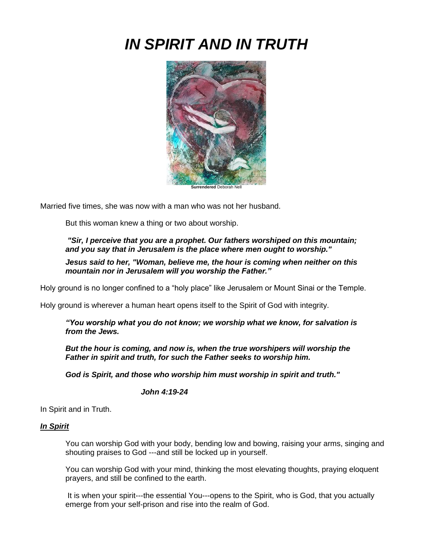# *IN SPIRIT AND IN TRUTH*



Married five times, she was now with a man who was not her husband.

But this woman knew a thing or two about worship.

*"Sir, I perceive that you are a prophet. Our fathers worshiped on this mountain; and you say that in Jerusalem is the place where men ought to worship."*

*Jesus said to her, "Woman, believe me, the hour is coming when neither on this mountain nor in Jerusalem will you worship the Father."*

Holy ground is no longer confined to a "holy place" like Jerusalem or Mount Sinai or the Temple.

Holy ground is wherever a human heart opens itself to the Spirit of God with integrity.

*"You worship what you do not know; we worship what we know, for salvation is from the Jews.*

*But the hour is coming, and now is, when the true worshipers will worship the Father in spirit and truth, for such the Father seeks to worship him.*

*God is Spirit, and those who worship him must worship in spirit and truth."*

## *John 4:19-24*

In Spirit and in Truth.

#### *In Spirit*

You can worship God with your body, bending low and bowing, raising your arms, singing and shouting praises to God ---and still be locked up in yourself.

You can worship God with your mind, thinking the most elevating thoughts, praying eloquent prayers, and still be confined to the earth.

It is when your spirit---the essential You---opens to the Spirit, who is God, that you actually emerge from your self-prison and rise into the realm of God.